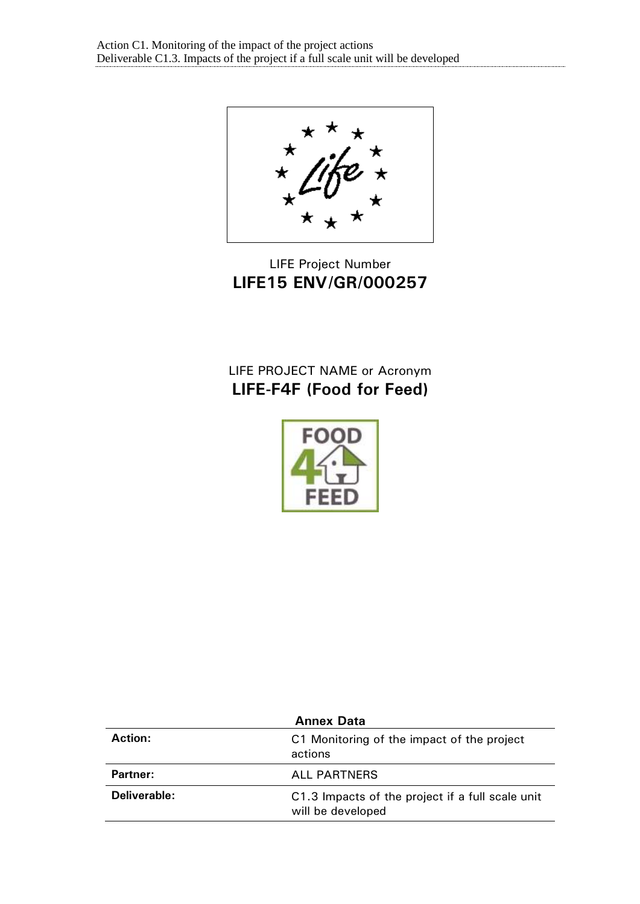LIFE Project Number **LIFE15 ENV/GR/000257**

# LIFE PROJECT NAME or Acronym **LIFE-F4F (Food for Feed)**



| <b>Annex Data</b> |                                                                       |  |
|-------------------|-----------------------------------------------------------------------|--|
| Action:           | C1 Monitoring of the impact of the project<br>actions                 |  |
| Partner:          | <b>ALL PARTNERS</b>                                                   |  |
| Deliverable:      | C1.3 Impacts of the project if a full scale unit<br>will be developed |  |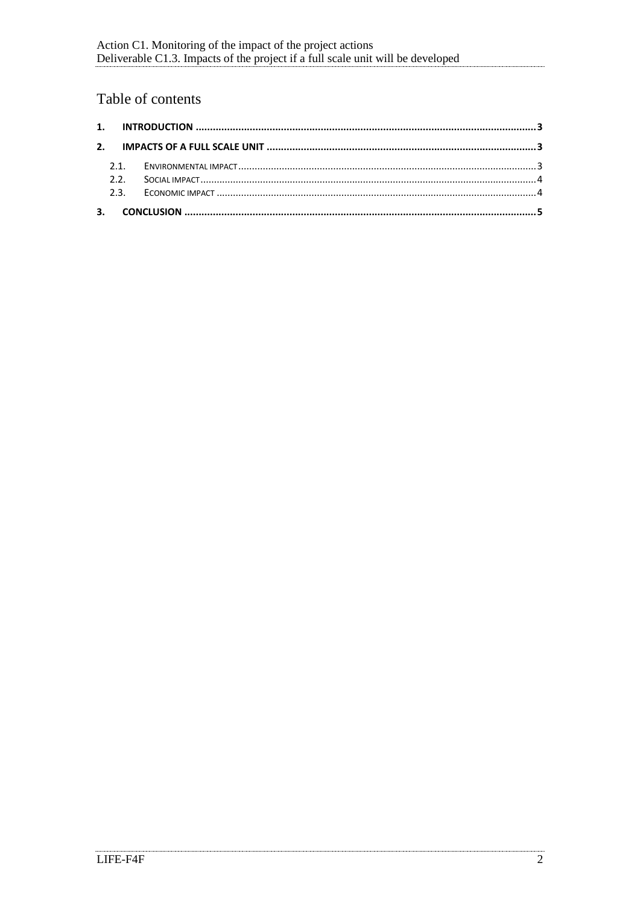## Table of contents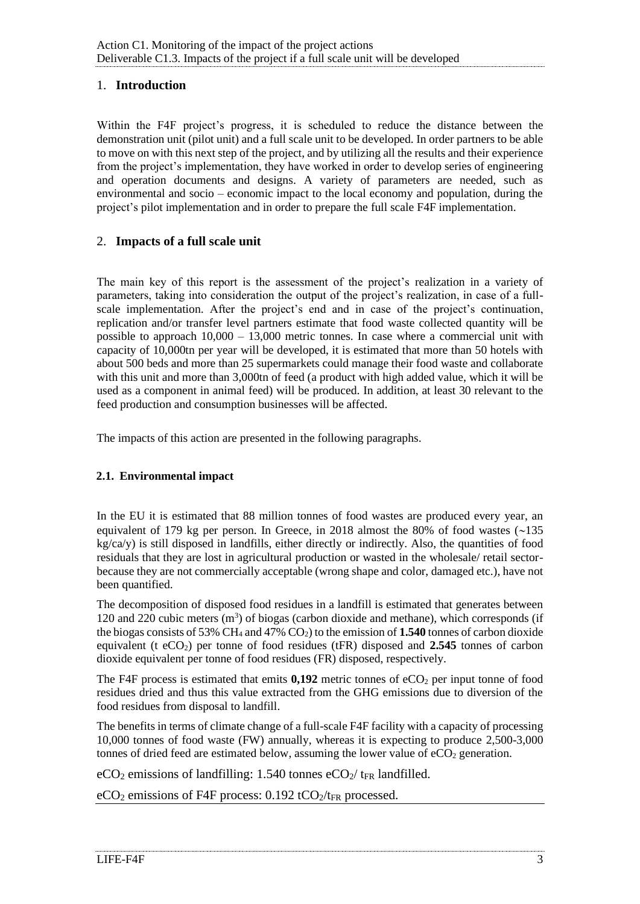## <span id="page-2-0"></span>1. **Introduction**

Within the F4F project's progress, it is scheduled to reduce the distance between the demonstration unit (pilot unit) and a full scale unit to be developed. In order partners to be able to move on with this next step of the project, and by utilizing all the results and their experience from the project's implementation, they have worked in order to develop series of engineering and operation documents and designs. A variety of parameters are needed, such as environmental and socio – economic impact to the local economy and population, during the project's pilot implementation and in order to prepare the full scale F4F implementation.

## <span id="page-2-1"></span>2. **Impacts of a full scale unit**

The main key of this report is the assessment of the project's realization in a variety of parameters, taking into consideration the output of the project's realization, in case of a fullscale implementation. After the project's end and in case of the project's continuation, replication and/or transfer level partners estimate that food waste collected quantity will be possible to approach  $10,000 - 13,000$  metric tonnes. In case where a commercial unit with capacity of 10,000tn per year will be developed, it is estimated that more than 50 hotels with about 500 beds and more than 25 supermarkets could manage their food waste and collaborate with this unit and more than 3,000tn of feed (a product with high added value, which it will be used as a component in animal feed) will be produced. In addition, at least 30 relevant to the feed production and consumption businesses will be affected.

The impacts of this action are presented in the following paragraphs.

#### <span id="page-2-2"></span>**2.1. Environmental impact**

In the EU it is estimated that 88 million tonnes of food wastes are produced every year, an equivalent of 179 kg per person. In Greece, in 2018 almost the 80% of food wastes  $\sim$  135  $kg/ca/y$ ) is still disposed in landfills, either directly or indirectly. Also, the quantities of food residuals that they are lost in agricultural production or wasted in the wholesale/ retail sectorbecause they are not commercially acceptable (wrong shape and color, damaged etc.), have not been quantified.

The decomposition of disposed food residues in a landfill is estimated that generates between 120 and 220 cubic meters  $(m<sup>3</sup>)$  of biogas (carbon dioxide and methane), which corresponds (if the biogas consists of 53% CH<sub>4</sub> and 47% CO<sub>2</sub>) to the emission of **1.540** tonnes of carbon dioxide equivalent (t eCO2) per tonne of food residues (tFR) disposed and **2.545** tonnes of carbon dioxide equivalent per tonne of food residues (FR) disposed, respectively.

The F4F process is estimated that emits  $0,192$  metric tonnes of  $eCO<sub>2</sub>$  per input tonne of food residues dried and thus this value extracted from the GHG emissions due to diversion of the food residues from disposal to landfill.

The benefits in terms of climate change of a full-scale F4F facility with a capacity of processing 10,000 tonnes of food waste (FW) annually, whereas it is expecting to produce 2,500-3,000 tonnes of dried feed are estimated below, assuming the lower value of  $eCO<sub>2</sub>$  generation.

 $eCO<sub>2</sub>$  emissions of landfilling: 1.540 tonnes  $eCO<sub>2</sub>/t_{FR}$  landfilled.

 $eCO<sub>2</sub>$  emissions of F4F process: 0.192 tCO $_2$ /t<sub>FR</sub> processed.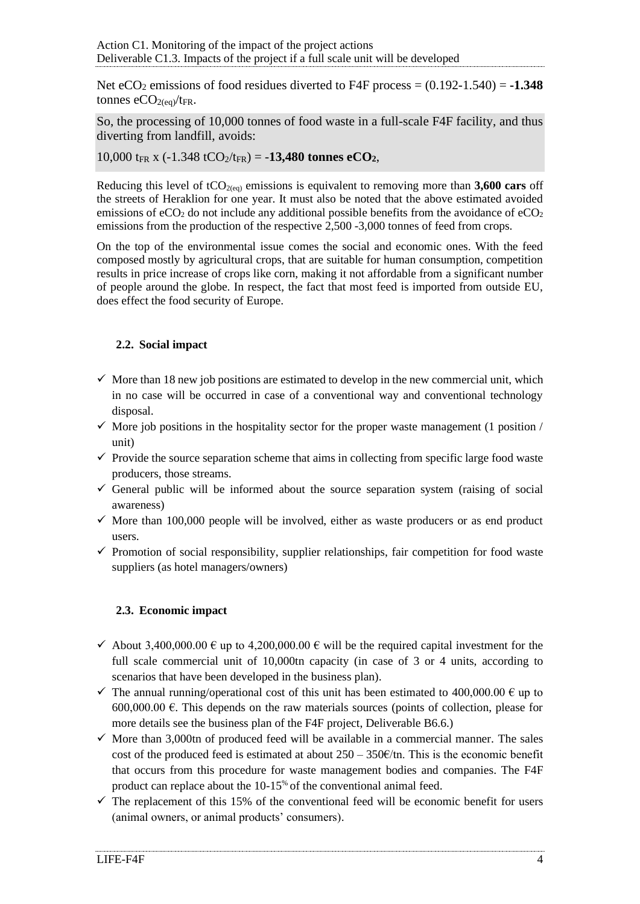Net  $eCO<sub>2</sub>$  emissions of food residues diverted to F4F process =  $(0.192-1.540) = -1.348$ tonnes  $eCO_{2(eq)}/t_{FR}$ .

So, the processing of 10,000 tonnes of food waste in a full-scale F4F facility, and thus diverting from landfill, avoids:

10,000  $t_{FR}$  x (-1.348  $tCO_2/t_{FR}$ ) = -13,480 **tonnes eCO**<sub>2</sub>,

Reducing this level of tCO<sub>2(eq)</sub> emissions is equivalent to removing more than **3,600 cars** off the streets of Heraklion for one year. It must also be noted that the above estimated avoided emissions of  $eCO<sub>2</sub>$  do not include any additional possible benefits from the avoidance of  $eCO<sub>2</sub>$ emissions from the production of the respective 2,500 -3,000 tonnes of feed from crops.

On the top of the environmental issue comes the social and economic ones. With the feed composed mostly by agricultural crops, that are suitable for human consumption, competition results in price increase of crops like corn, making it not affordable from a significant number of people around the globe. In respect, the fact that most feed is imported from outside EU, does effect the food security of Europe.

## <span id="page-3-0"></span>**2.2. Social impact**

- $\checkmark$  More than 18 new job positions are estimated to develop in the new commercial unit, which in no case will be occurred in case of a conventional way and conventional technology disposal.
- $\checkmark$  More job positions in the hospitality sector for the proper waste management (1 position / unit)
- $\checkmark$  Provide the source separation scheme that aims in collecting from specific large food waste producers, those streams.
- $\checkmark$  General public will be informed about the source separation system (raising of social awareness)
- $\checkmark$  More than 100,000 people will be involved, either as waste producers or as end product users.
- $\checkmark$  Promotion of social responsibility, supplier relationships, fair competition for food waste suppliers (as hotel managers/owners)

## <span id="page-3-1"></span>**2.3. Economic impact**

- $\checkmark$  About 3,400,000.00  $\in$  up to 4,200,000.00  $\in$  will be the required capital investment for the full scale commercial unit of 10,000tn capacity (in case of 3 or 4 units, according to scenarios that have been developed in the business plan).
- $\checkmark$  The annual running/operational cost of this unit has been estimated to 400,000.00  $\hat{\epsilon}$  up to 600,000.00  $\epsilon$ . This depends on the raw materials sources (points of collection, please for more details see the business plan of the F4F project, Deliverable B6.6.)
- $\checkmark$  More than 3,000tn of produced feed will be available in a commercial manner. The sales cost of the produced feed is estimated at about  $250 - 350 \times \pi$ . This is the economic benefit that occurs from this procedure for waste management bodies and companies. The F4F product can replace about the 10-15% of the conventional animal feed.
- $\checkmark$  The replacement of this 15% of the conventional feed will be economic benefit for users (animal owners, or animal products' consumers).